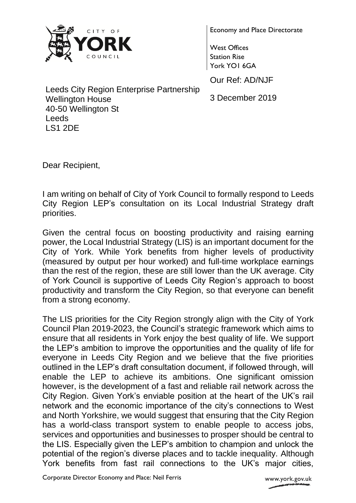

Economy and Place Directorate

West Offices Station Rise York YO1 6GA

Our Ref: AD/NJF

3 December 2019

Leeds City Region Enterprise Partnership Wellington House 40-50 Wellington St Leeds LS1 2DE

Dear Recipient,

I am writing on behalf of City of York Council to formally respond to Leeds City Region LEP's consultation on its Local Industrial Strategy draft priorities.

Given the central focus on boosting productivity and raising earning power, the Local Industrial Strategy (LIS) is an important document for the City of York. While York benefits from higher levels of productivity (measured by output per hour worked) and full-time workplace earnings than the rest of the region, these are still lower than the UK average. City of York Council is supportive of Leeds City Region's approach to boost productivity and transform the City Region, so that everyone can benefit from a strong economy.

The LIS priorities for the City Region strongly align with the City of York Council Plan 2019-2023, the Council's strategic framework which aims to ensure that all residents in York enjoy the best quality of life. We support the LEP's ambition to improve the opportunities and the quality of life for everyone in Leeds City Region and we believe that the five priorities outlined in the LEP's draft consultation document, if followed through, will enable the LEP to achieve its ambitions. One significant omission however, is the development of a fast and reliable rail network across the City Region. Given York's enviable position at the heart of the UK's rail network and the economic importance of the city's connections to West and North Yorkshire, we would suggest that ensuring that the City Region has a world-class transport system to enable people to access jobs, services and opportunities and businesses to prosper should be central to the LIS. Especially given the LEP's ambition to champion and unlock the potential of the region's diverse places and to tackle inequality. Although York benefits from fast rail connections to the UK's major cities,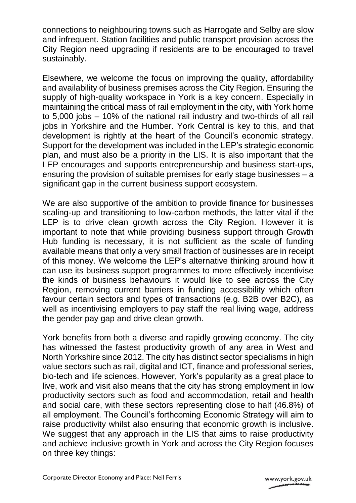connections to neighbouring towns such as Harrogate and Selby are slow and infrequent. Station facilities and public transport provision across the City Region need upgrading if residents are to be encouraged to travel sustainably.

Elsewhere, we welcome the focus on improving the quality, affordability and availability of business premises across the City Region. Ensuring the supply of high-quality workspace in York is a key concern. Especially in maintaining the critical mass of rail employment in the city, with York home to 5,000 jobs – 10% of the national rail industry and two-thirds of all rail jobs in Yorkshire and the Humber. York Central is key to this, and that development is rightly at the heart of the Council's economic strategy. Support for the development was included in the LEP's strategic economic plan, and must also be a priority in the LIS. It is also important that the LEP encourages and supports entrepreneurship and business start-ups, ensuring the provision of suitable premises for early stage businesses – a significant gap in the current business support ecosystem.

We are also supportive of the ambition to provide finance for businesses scaling-up and transitioning to low-carbon methods, the latter vital if the LEP is to drive clean growth across the City Region. However it is important to note that while providing business support through Growth Hub funding is necessary, it is not sufficient as the scale of funding available means that only a very small fraction of businesses are in receipt of this money. We welcome the LEP's alternative thinking around how it can use its business support programmes to more effectively incentivise the kinds of business behaviours it would like to see across the City Region, removing current barriers in funding accessibility which often favour certain sectors and types of transactions (e.g. B2B over B2C), as well as incentivising employers to pay staff the real living wage, address the gender pay gap and drive clean growth.

York benefits from both a diverse and rapidly growing economy. The city has witnessed the fastest productivity growth of any area in West and North Yorkshire since 2012. The city has distinct sector specialisms in high value sectors such as rail, digital and ICT, finance and professional series, bio-tech and life sciences. However, York's popularity as a great place to live, work and visit also means that the city has strong employment in low productivity sectors such as food and accommodation, retail and health and social care, with these sectors representing close to half (46.8%) of all employment. The Council's forthcoming Economic Strategy will aim to raise productivity whilst also ensuring that economic growth is inclusive. We suggest that any approach in the LIS that aims to raise productivity and achieve inclusive growth in York and across the City Region focuses on three key things: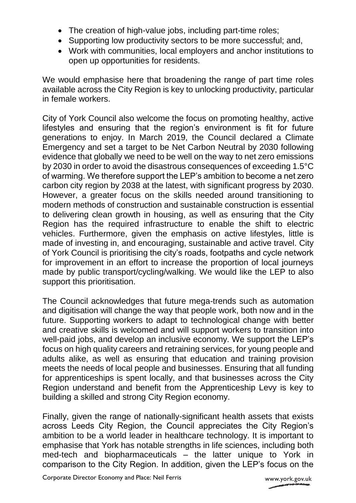- The creation of high-value jobs, including part-time roles;
- Supporting low productivity sectors to be more successful; and,
- Work with communities, local employers and anchor institutions to open up opportunities for residents.

We would emphasise here that broadening the range of part time roles available across the City Region is key to unlocking productivity, particular in female workers.

City of York Council also welcome the focus on promoting healthy, active lifestyles and ensuring that the region's environment is fit for future generations to enjoy. In March 2019, the Council declared a Climate Emergency and set a target to be Net Carbon Neutral by 2030 following evidence that globally we need to be well on the way to net zero emissions by 2030 in order to avoid the disastrous consequences of exceeding 1.5°C of warming. We therefore support the LEP's ambition to become a net zero carbon city region by 2038 at the latest, with significant progress by 2030. However, a greater focus on the skills needed around transitioning to modern methods of construction and sustainable construction is essential to delivering clean growth in housing, as well as ensuring that the City Region has the required infrastructure to enable the shift to electric vehicles. Furthermore, given the emphasis on active lifestyles, little is made of investing in, and encouraging, sustainable and active travel. City of York Council is prioritising the city's roads, footpaths and cycle network for improvement in an effort to increase the proportion of local journeys made by public transport/cycling/walking. We would like the LEP to also support this prioritisation.

The Council acknowledges that future mega-trends such as automation and digitisation will change the way that people work, both now and in the future. Supporting workers to adapt to technological change with better and creative skills is welcomed and will support workers to transition into well-paid jobs, and develop an inclusive economy. We support the LEP's focus on high quality careers and retraining services, for young people and adults alike, as well as ensuring that education and training provision meets the needs of local people and businesses. Ensuring that all funding for apprenticeships is spent locally, and that businesses across the City Region understand and benefit from the Apprenticeship Levy is key to building a skilled and strong City Region economy.

Finally, given the range of nationally-significant health assets that exists across Leeds City Region, the Council appreciates the City Region's ambition to be a world leader in healthcare technology. It is important to emphasise that York has notable strengths in life sciences, including both med-tech and biopharmaceuticals – the latter unique to York in comparison to the City Region. In addition, given the LEP's focus on the